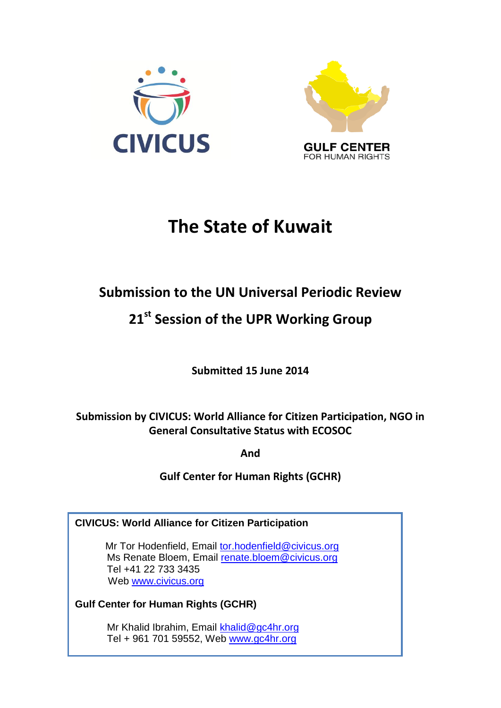



# **The State of Kuwait**

# **Submission to the UN Universal Periodic Review**

# **21 st Session of the UPR Working Group**

**Submitted 15 June 2014**

**Submission by CIVICUS: World Alliance for Citizen Participation, NGO in General Consultative Status with ECOSOC** 

**And**

**Gulf Center for Human Rights (GCHR)**

**CIVICUS: World Alliance for Citizen Participation**

Mr Tor Hodenfield, Email [tor.hodenfield@civicus.org](mailto:tor.hodenfield@civicus.org) Ms Renate Bloem, Email [renate.bloem@civicus.org](mailto:renate.bloem@civicus.org) Tel +41 22 733 3435 Web [www.civicus.org](http://www.civicus.org/)

**Gulf Center for Human Rights (GCHR)**

 Mr Khalid Ibrahim, Email [khalid@gc4hr.org](mailto:khalid@gc4hr.org) Tel + 961 701 59552, Web [www.gc4hr.org](http://www.gc4hr.org/)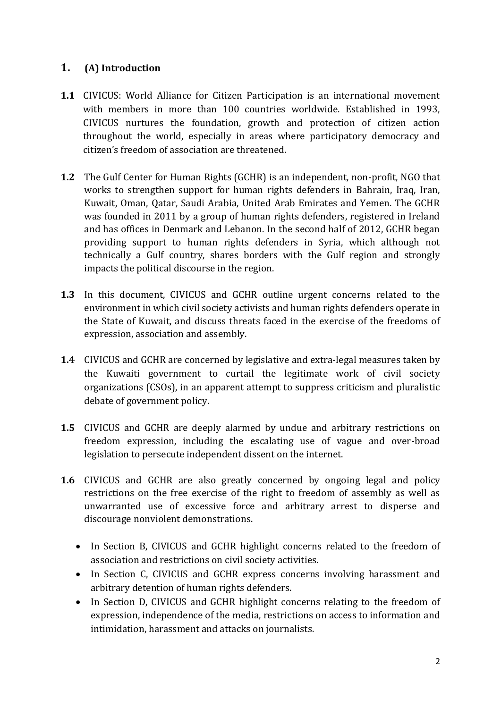## **1. (A) Introduction**

- **1.1** CIVICUS: World Alliance for Citizen Participation is an international movement with members in more than 100 countries worldwide. Established in 1993, CIVICUS nurtures the foundation, growth and protection of citizen action throughout the world, especially in areas where participatory democracy and citizen's freedom of association are threatened.
- **1.2** The Gulf Center for Human Rights (GCHR) is an independent, non-profit, NGO that works to strengthen support for human rights defenders in Bahrain, Iraq, Iran, Kuwait, Oman, Qatar, Saudi Arabia, United Arab Emirates and Yemen. The GCHR was founded in 2011 by a group of human rights defenders, registered in Ireland and has offices in Denmark and Lebanon. In the second half of 2012, GCHR began providing support to human rights defenders in Syria, which although not technically a Gulf country, shares borders with the Gulf region and strongly impacts the political discourse in the region.
- **1.3** In this document, CIVICUS and GCHR outline urgent concerns related to the environment in which civil society activists and human rights defenders operate in the State of Kuwait, and discuss threats faced in the exercise of the freedoms of expression, association and assembly.
- **1.4** CIVICUS and GCHR are concerned by legislative and extra-legal measures taken by the Kuwaiti government to curtail the legitimate work of civil society organizations (CSOs), in an apparent attempt to suppress criticism and pluralistic debate of government policy.
- **1.5** CIVICUS and GCHR are deeply alarmed by undue and arbitrary restrictions on freedom expression, including the escalating use of vague and over-broad legislation to persecute independent dissent on the internet.
- **1.6** CIVICUS and GCHR are also greatly concerned by ongoing legal and policy restrictions on the free exercise of the right to freedom of assembly as well as unwarranted use of excessive force and arbitrary arrest to disperse and discourage nonviolent demonstrations.
	- In Section B, CIVICUS and GCHR highlight concerns related to the freedom of association and restrictions on civil society activities.
	- In Section C, CIVICUS and GCHR express concerns involving harassment and arbitrary detention of human rights defenders.
	- In Section D, CIVICUS and GCHR highlight concerns relating to the freedom of expression, independence of the media, restrictions on access to information and intimidation, harassment and attacks on journalists.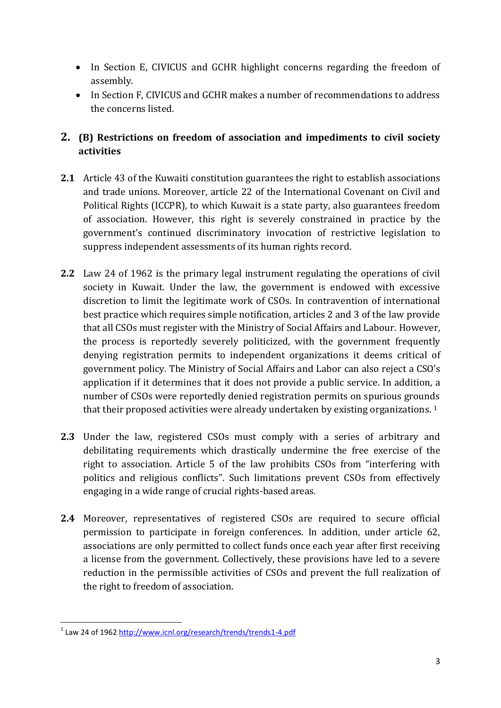- In Section E, CIVICUS and GCHR highlight concerns regarding the freedom of assembly.
- In Section F, CIVICUS and GCHR makes a number of recommendations to address the concerns listed.

# **2. (B) Restrictions on freedom of association and impediments to civil society activities**

- **2.1** Article 43 of the Kuwaiti constitution guarantees the right to establish associations and trade unions. Moreover, article 22 of the International Covenant on Civil and Political Rights (ICCPR), to which Kuwait is a state party, also guarantees freedom of association. However, this right is severely constrained in practice by the government's continued discriminatory invocation of restrictive legislation to suppress independent assessments of its human rights record.
- **2.2** Law 24 of 1962 is the primary legal instrument regulating the operations of civil society in Kuwait. Under the law, the government is endowed with excessive discretion to limit the legitimate work of CSOs. In contravention of international best practice which requires simple notification, articles 2 and 3 of the law provide that all CSOs must register with the Ministry of Social Affairs and Labour. However, the process is reportedly severely politicized, with the government frequently denying registration permits to independent organizations it deems critical of government policy. The Ministry of Social Affairs and Labor can also reject a CSO's application if it determines that it does not provide a public service. In addition, a number of CSOs were reportedly denied registration permits on spurious grounds that their proposed activities were already undertaken by existing organizations.<sup>1</sup>
- **2.3** Under the law, registered CSOs must comply with a series of arbitrary and debilitating requirements which drastically undermine the free exercise of the right to association. Article 5 of the law prohibits CSOs from "interfering with politics and religious conflicts". Such limitations prevent CSOs from effectively engaging in a wide range of crucial rights-based areas.
- **2.4** Moreover, representatives of registered CSOs are required to secure official permission to participate in foreign conferences. In addition, under article 62, associations are only permitted to collect funds once each year after first receiving a license from the government. Collectively, these provisions have led to a severe reduction in the permissible activities of CSOs and prevent the full realization of the right to freedom of association.

**<sup>.</sup>** <sup>1</sup> Law 24 of 196[2 http://www.icnl.org/research/trends/trends1-4.pdf](http://www.icnl.org/research/trends/trends1-4.pdf)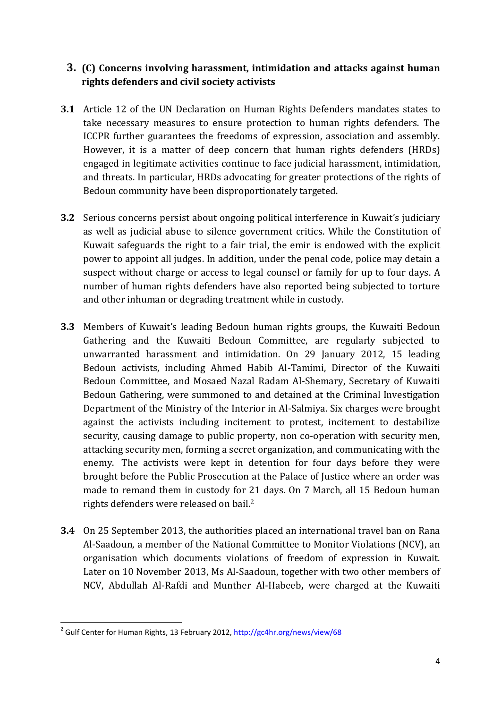#### **3. (C) Concerns involving harassment, intimidation and attacks against human rights defenders and civil society activists**

- **3.1** Article 12 of the UN Declaration on Human Rights Defenders mandates states to take necessary measures to ensure protection to human rights defenders. The ICCPR further guarantees the freedoms of expression, association and assembly. However, it is a matter of deep concern that human rights defenders (HRDs) engaged in legitimate activities continue to face judicial harassment, intimidation, and threats. In particular, HRDs advocating for greater protections of the rights of Bedoun community have been disproportionately targeted.
- **3.2** Serious concerns persist about ongoing political interference in Kuwait's judiciary as well as judicial abuse to silence government critics. While the Constitution of Kuwait safeguards the right to a fair trial, the emir is endowed with the explicit power to appoint all judges. In addition, under the penal code, police may detain a suspect without charge or access to legal counsel or family for up to four days. A number of human rights defenders have also reported being subjected to torture and other inhuman or degrading treatment while in custody.
- **3.3** Members of Kuwait's leading Bedoun human rights groups, the Kuwaiti Bedoun Gathering and the Kuwaiti Bedoun Committee, are regularly subjected to unwarranted harassment and intimidation. On 29 January 2012, 15 leading Bedoun activists, including Ahmed Habib Al-Tamimi, Director of the Kuwaiti Bedoun Committee, and Mosaed Nazal Radam Al-Shemary, Secretary of Kuwaiti Bedoun Gathering, were summoned to and detained at the Criminal Investigation Department of the Ministry of the Interior in Al-Salmiya. Six charges were brought against the activists including incitement to protest, incitement to destabilize security, causing damage to public property, non co-operation with security men, attacking security men, forming a secret organization, and communicating with the enemy. The activists were kept in detention for four days before they were brought before the Public Prosecution at the Palace of Justice where an order was made to remand them in custody for 21 days. On 7 March, all 15 Bedoun human rights defenders were released on bail.<sup>2</sup>
- **3.4** On 25 September 2013, the authorities placed an international travel ban on Rana Al-Saadoun, a member of the National Committee to Monitor Violations (NCV), an organisation which documents violations of freedom of expression in Kuwait. Later on 10 November 2013, Ms Al-Saadoun, together with two other members of NCV, Abdullah Al-Rafdi and Munther Al-Habeeb**,** were charged at the Kuwaiti

 2 Gulf Center for Human Rights, 13 February 2012, <http://gc4hr.org/news/view/68>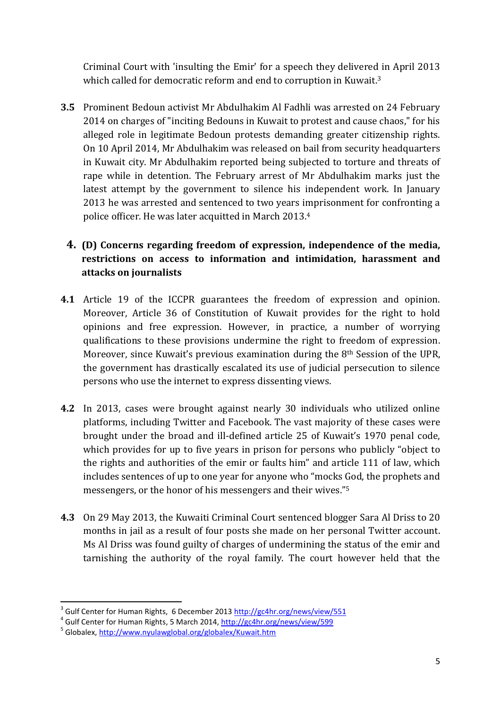Criminal Court with 'insulting the Emir' for a speech they delivered in April 2013 which called for democratic reform and end to corruption in Kuwait.<sup>3</sup>

**3.5** Prominent Bedoun activist Mr Abdulhakim Al Fadhli was arrested on 24 February 2014 on charges of "inciting Bedouns in Kuwait to protest and cause chaos," for his alleged role in legitimate Bedoun protests demanding greater citizenship rights. On 10 April 2014, Mr Abdulhakim was released on bail from security headquarters in Kuwait city. Mr Abdulhakim reported being subjected to torture and threats of rape while in detention. The February arrest of Mr Abdulhakim marks just the latest attempt by the government to silence his independent work. In January 2013 he was arrested and sentenced to two years imprisonment for confronting a police officer. He was later acquitted in March 2013. 4

## **4. (D) Concerns regarding freedom of expression, independence of the media, restrictions on access to information and intimidation, harassment and attacks on journalists**

- **4.1** Article 19 of the ICCPR guarantees the freedom of expression and opinion. Moreover, Article 36 of Constitution of Kuwait provides for the right to hold opinions and free expression. However, in practice, a number of worrying qualifications to these provisions undermine the right to freedom of expression. Moreover, since Kuwait's previous examination during the 8th Session of the UPR, the government has drastically escalated its use of judicial persecution to silence persons who use the internet to express dissenting views.
- **4.2** In 2013, cases were brought against nearly 30 individuals who utilized online platforms, including Twitter and Facebook. The vast majority of these cases were brought under the broad and ill-defined article 25 of Kuwait's 1970 penal code, which provides for up to five years in prison for persons who publicly "object to the rights and authorities of the emir or faults him" and article 111 of law, which includes sentences of up to one year for anyone who "mocks God, the prophets and messengers, or the honor of his messengers and their wives."<sup>5</sup>
- **4.3** On 29 May 2013, the Kuwaiti Criminal Court sentenced blogger Sara Al Driss to 20 months in jail as a result of four posts she made on her personal Twitter account. Ms Al Driss was found guilty of charges of undermining the status of the emir and tarnishing the authority of the royal family. The court however held that the

**.** 

<sup>&</sup>lt;sup>3</sup> Gulf Center for Human Rights, 6 December 2013<http://gc4hr.org/news/view/551>

<sup>&</sup>lt;sup>4</sup> Gulf Center for Human Rights, 5 March 2014,<http://gc4hr.org/news/view/599>

<sup>&</sup>lt;sup>5</sup> Globalex,<http://www.nyulawglobal.org/globalex/Kuwait.htm>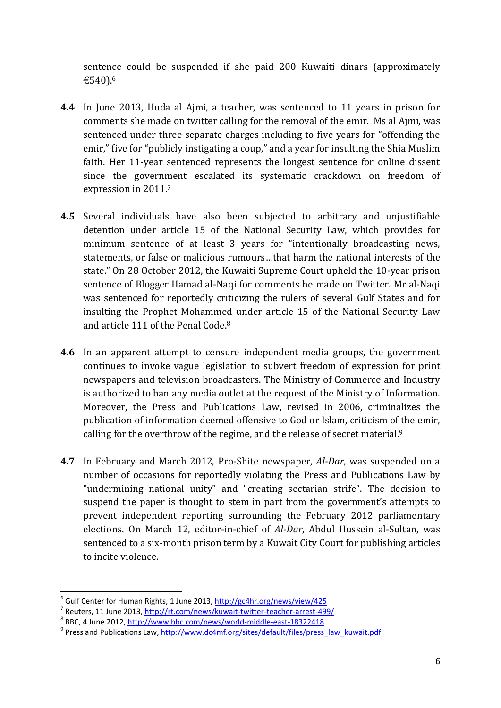sentence could be suspended if she paid 200 Kuwaiti dinars (approximately €540).<sup>6</sup>

- **4.4** In June 2013, Huda al Ajmi, a teacher, was sentenced to 11 years in prison for comments she made on twitter calling for the removal of the emir. Ms al Ajmi, was sentenced under three separate charges including to five years for "offending the emir," five for "publicly instigating a coup," and a year for insulting the Shia Muslim faith. Her 11-year sentenced represents the longest sentence for online dissent since the government escalated its systematic crackdown on freedom of expression in 2011. 7
- **4.5** Several individuals have also been subjected to arbitrary and unjustifiable detention under article 15 of the National Security Law, which provides for minimum sentence of at least 3 years for "intentionally broadcasting news, statements, or false or malicious rumours…that harm the national interests of the state." On 28 October 2012, the Kuwaiti Supreme Court upheld the 10-year prison sentence of Blogger Hamad al-Naqi for comments he made on Twitter. Mr al-Naqi was sentenced for reportedly criticizing the rulers of several Gulf States and for insulting the Prophet Mohammed under article 15 of the National Security Law and article 111 of the Penal Code.<sup>8</sup>
- **4.6** In an apparent attempt to censure independent media groups, the government continues to invoke vague legislation to subvert freedom of expression for print newspapers and television broadcasters. The Ministry of Commerce and Industry is authorized to ban any media outlet at the request of the Ministry of Information. Moreover, the Press and Publications Law, revised in 2006, criminalizes the publication of information deemed offensive to God or Islam, criticism of the emir, calling for the overthrow of the regime, and the release of secret material.<sup>9</sup>
- **4.7** In February and March 2012, Pro-Shite newspaper, *Al-Dar*, was suspended on a number of occasions for reportedly violating the Press and Publications Law by "undermining national unity" and "creating sectarian strife". The decision to suspend the paper is thought to stem in part from the government's attempts to prevent independent reporting surrounding the February 2012 parliamentary elections. On March 12, editor-in-chief of *Al-Dar*, Abdul Hussein al-Sultan, was sentenced to a six-month prison term by a Kuwait City Court for publishing articles to incite violence.

 $\overline{a}$ 

<sup>&</sup>lt;sup>6</sup> Gulf Center for Human Rights, 1 June 2013,<http://gc4hr.org/news/view/425>

<sup>&</sup>lt;sup>7</sup> Reuters, 11 June 2013,<http://rt.com/news/kuwait-twitter-teacher-arrest-499/>

<sup>&</sup>lt;sup>8</sup> BBC, 4 June 2012, <http://www.bbc.com/news/world-middle-east-18322418>

<sup>&</sup>lt;sup>9</sup> Press and Publications Law, [http://www.dc4mf.org/sites/default/files/press\\_law\\_kuwait.pdf](http://www.dc4mf.org/sites/default/files/press_law_kuwait.pdf)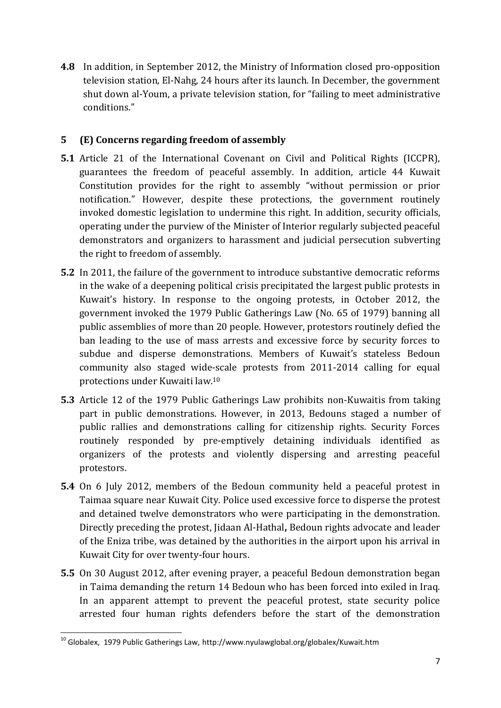**4.8** In addition, in September 2012, the Ministry of Information closed pro-opposition television station, El-Nahg, 24 hours after its launch. In December, the government shut down al-Youm, a private television station, for "failing to meet administrative conditions."

#### **5 (E) Concerns regarding freedom of assembly**

- **5.1** Article 21 of the International Covenant on Civil and Political Rights (ICCPR), guarantees the freedom of peaceful assembly. In addition, article 44 Kuwait Constitution provides for the right to assembly "without permission or prior notification." However, despite these protections, the government routinely invoked domestic legislation to undermine this right. In addition, security officials, operating under the purview of the Minister of Interior regularly subjected peaceful demonstrators and organizers to harassment and judicial persecution subverting the right to freedom of assembly.
- **5.2** In 2011, the failure of the government to introduce substantive democratic reforms in the wake of a deepening political crisis precipitated the largest public protests in Kuwait's history. In response to the ongoing protests, in October 2012, the government invoked the 1979 Public Gatherings Law (No. 65 of 1979) banning all public assemblies of more than 20 people. However, protestors routinely defied the ban leading to the use of mass arrests and excessive force by security forces to subdue and disperse demonstrations. Members of Kuwait's stateless Bedoun community also staged wide-scale protests from 2011-2014 calling for equal protections under Kuwaiti law.<sup>10</sup>
- **5.3** Article 12 of the 1979 Public Gatherings Law prohibits non-Kuwaitis from taking part in public demonstrations. However, in 2013, Bedouns staged a number of public rallies and demonstrations calling for citizenship rights. Security Forces routinely responded by pre-emptively detaining individuals identified as organizers of the protests and violently dispersing and arresting peaceful protestors.
- **5.4** On 6 July 2012, members of the Bedoun community held a peaceful protest in Taimaa square near Kuwait City. Police used excessive force to disperse the protest and detained twelve demonstrators who were participating in the demonstration. Directly preceding the protest, Jidaan Al-Hathal**,** Bedoun rights advocate and leader of the Eniza tribe, was detained by the authorities in the airport upon his arrival in Kuwait City for over twenty-four hours.
- **5.5** On 30 August 2012, after evening prayer, a peaceful Bedoun demonstration began in Taima demanding the return 14 Bedoun who has been forced into exiled in Iraq. In an apparent attempt to prevent the peaceful protest, state security police arrested four human rights defenders before the start of the demonstration

**<sup>.</sup>**  $10$  Globalex, 1979 Public Gatherings Law, http://www.nyulawglobal.org/globalex/Kuwait.htm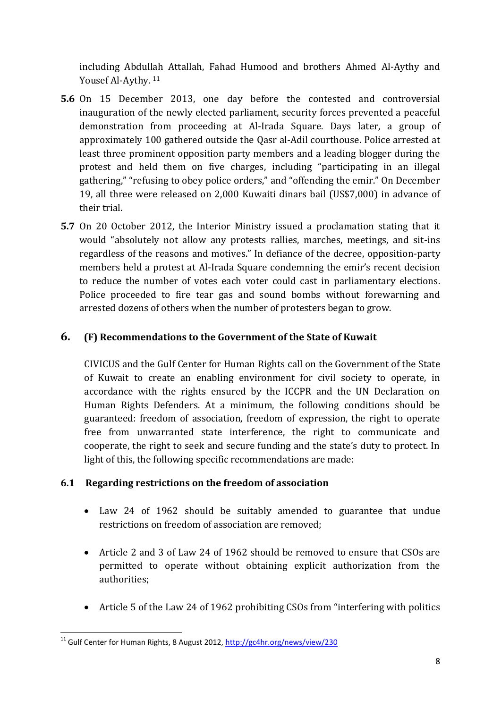including Abdullah Attallah, Fahad Humood and brothers Ahmed Al-Aythy and Yousef Al-Aythy. 11

- **5.6** On 15 December 2013, one day before the contested and controversial inauguration of the newly elected parliament, security forces prevented a peaceful demonstration from proceeding at Al-Irada Square. Days later, a group of approximately 100 gathered outside the Qasr al-Adil courthouse. Police arrested at least three prominent opposition party members and a leading blogger during the protest and held them on five charges, including "participating in an illegal gathering," "refusing to obey police orders," and "offending the emir." On December 19, all three were released on 2,000 Kuwaiti dinars bail (US\$7,000) in advance of their trial.
- **5.7** On 20 October 2012, the Interior Ministry issued a proclamation stating that it would "absolutely not allow any protests rallies, marches, meetings, and sit-ins regardless of the reasons and motives." In defiance of the decree, opposition-party members held a protest at Al-Irada Square condemning the emir's recent decision to reduce the number of votes each voter could cast in parliamentary elections. Police proceeded to fire tear gas and sound bombs without forewarning and arrested dozens of others when the number of protesters began to grow.

#### **6. (F) Recommendations to the Government of the State of Kuwait**

CIVICUS and the Gulf Center for Human Rights call on the Government of the State of Kuwait to create an enabling environment for civil society to operate, in accordance with the rights ensured by the ICCPR and the UN Declaration on Human Rights Defenders. At a minimum, the following conditions should be guaranteed: freedom of association, freedom of expression, the right to operate free from unwarranted state interference, the right to communicate and cooperate, the right to seek and secure funding and the state's duty to protect. In light of this, the following specific recommendations are made:

#### **6.1 Regarding restrictions on the freedom of association**

- Law 24 of 1962 should be suitably amended to guarantee that undue restrictions on freedom of association are removed;
- Article 2 and 3 of Law 24 of 1962 should be removed to ensure that CSOs are permitted to operate without obtaining explicit authorization from the authorities;
- Article 5 of the Law 24 of 1962 prohibiting CSOs from "interfering with politics

**<sup>.</sup>** <sup>11</sup> Gulf Center for Human Rights, 8 August 2012,<http://gc4hr.org/news/view/230>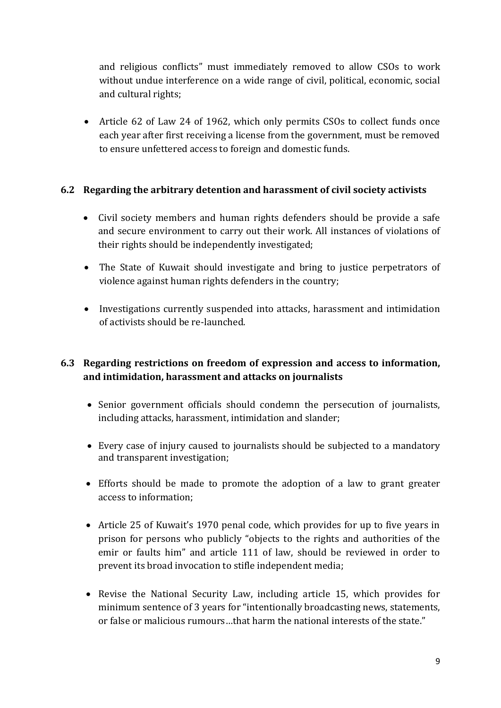and religious conflicts" must immediately removed to allow CSOs to work without undue interference on a wide range of civil, political, economic, social and cultural rights;

 Article 62 of Law 24 of 1962, which only permits CSOs to collect funds once each year after first receiving a license from the government, must be removed to ensure unfettered access to foreign and domestic funds.

#### **6.2 Regarding the arbitrary detention and harassment of civil society activists**

- Civil society members and human rights defenders should be provide a safe and secure environment to carry out their work. All instances of violations of their rights should be independently investigated;
- The State of Kuwait should investigate and bring to justice perpetrators of violence against human rights defenders in the country;
- Investigations currently suspended into attacks, harassment and intimidation of activists should be re-launched.

### **6.3 Regarding restrictions on freedom of expression and access to information, and intimidation, harassment and attacks on journalists**

- Senior government officials should condemn the persecution of journalists, including attacks, harassment, intimidation and slander;
- Every case of injury caused to journalists should be subjected to a mandatory and transparent investigation;
- Efforts should be made to promote the adoption of a law to grant greater access to information;
- Article 25 of Kuwait's 1970 penal code, which provides for up to five years in prison for persons who publicly "objects to the rights and authorities of the emir or faults him" and article 111 of law, should be reviewed in order to prevent its broad invocation to stifle independent media;
- Revise the National Security Law, including article 15, which provides for minimum sentence of 3 years for "intentionally broadcasting news, statements, or false or malicious rumours…that harm the national interests of the state."